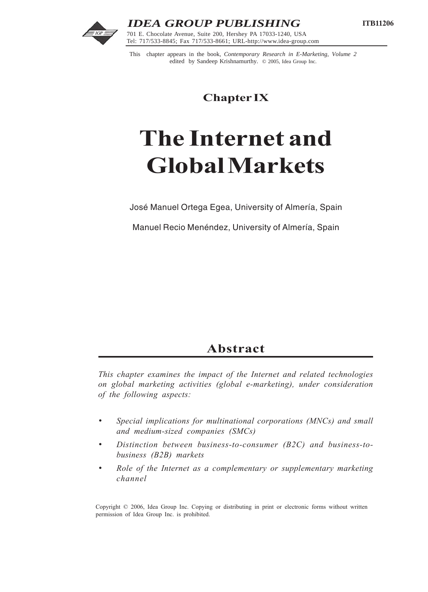

201 E. Chocolate Avenue, Suite 200, Hershey FA 17055-1240, OSA<br>Tel: 717/533-8845; Fax 717/533-8661; URL-http://www.idea-group.com *IDEA GROUP PUBLISHING* 701 E. Chocolate Avenue, Suite 200, Hershey PA 17033-1240, USA

This chapter appears in the book, *Contemporary Research in E-Marketing, Volume 2* edited by Sandeep Krishnamurthy. © 2005, Idea Group Inc.

**Chapter IX**

# **The Internet and Global Markets**

José Manuel Ortega Egea, University of Almería, Spain

Manuel Recio Menéndez, University of Almería, Spain

# **Abstract**

*This chapter examines the impact of the Internet and related technologies on global marketing activities (global e-marketing), under consideration of the following aspects:*

- *• Special implications for multinational corporations (MNCs) and small and medium-sized companies (SMCs)*
- *• Distinction between business-to-consumer (B2C) and business-tobusiness (B2B) markets*
- *• Role of the Internet as a complementary or supplementary marketing channel*

Copyright © 2006, Idea Group Inc. Copying or distributing in print or electronic forms without written permission of Idea Group Inc. is prohibited.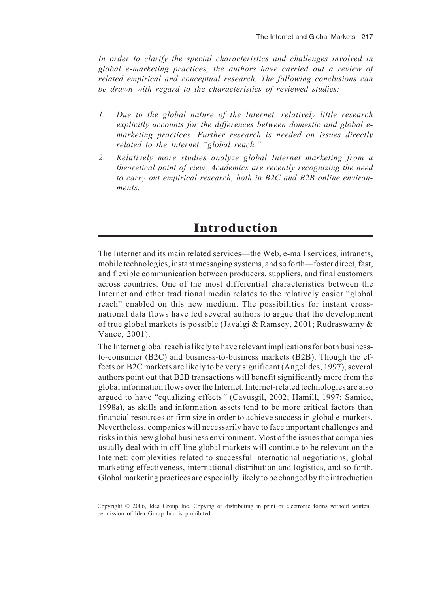*In order to clarify the special characteristics and challenges involved in global e-marketing practices, the authors have carried out a review of related empirical and conceptual research. The following conclusions can be drawn with regard to the characteristics of reviewed studies:*

- *1. Due to the global nature of the Internet, relatively little research explicitly accounts for the differences between domestic and global emarketing practices. Further research is needed on issues directly related to the Internet "global reach."*
- *2. Relatively more studies analyze global Internet marketing from a theoretical point of view. Academics are recently recognizing the need to carry out empirical research, both in B2C and B2B online environments.*

# **Introduction**

The Internet and its main related services—the Web, e-mail services, intranets, mobile technologies, instant messaging systems, and so forth—foster direct, fast, and flexible communication between producers, suppliers, and final customers across countries. One of the most differential characteristics between the Internet and other traditional media relates to the relatively easier "global" reach" enabled on this new medium. The possibilities for instant crossnational data flows have led several authors to argue that the development of true global markets is possible (Javalgi & Ramsey, 2001; Rudraswamy & Vance, 2001).

The Internet global reach is likely to have relevant implications for both businessto-consumer (B2C) and business-to-business markets (B2B). Though the effects on B2C markets are likely to be very significant (Angelides, 1997), several authors point out that B2B transactions will benefit significantly more from the global information flows over the Internet. Internet-related technologies are also argued to have "equalizing effects*"* (Cavusgil, 2002; Hamill, 1997; Samiee, 1998a), as skills and information assets tend to be more critical factors than financial resources or firm size in order to achieve success in global e-markets. Nevertheless, companies will necessarily have to face important challenges and risks in this new global business environment. Most of the issues that companies usually deal with in off-line global markets will continue to be relevant on the Internet: complexities related to successful international negotiations, global marketing effectiveness, international distribution and logistics, and so forth. Global marketing practices are especially likely to be changed by the introduction

Copyright © 2006, Idea Group Inc. Copying or distributing in print or electronic forms without written permission of Idea Group Inc. is prohibited.